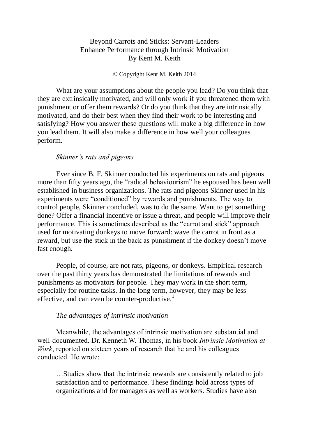# Beyond Carrots and Sticks: Servant-Leaders Enhance Performance through Intrinsic Motivation By Kent M. Keith

## © Copyright Kent M. Keith 2014

What are your assumptions about the people you lead? Do you think that they are extrinsically motivated, and will only work if you threatened them with punishment or offer them rewards? Or do you think that they are intrinsically motivated, and do their best when they find their work to be interesting and satisfying? How you answer these questions will make a big difference in how you lead them. It will also make a difference in how well your colleagues perform.

## *Skinner's rats and pigeons*

Ever since B. F. Skinner conducted his experiments on rats and pigeons more than fifty years ago, the "radical behaviourism" he espoused has been well established in business organizations. The rats and pigeons Skinner used in his experiments were "conditioned" by rewards and punishments. The way to control people, Skinner concluded, was to do the same. Want to get something done? Offer a financial incentive or issue a threat, and people will improve their performance. This is sometimes described as the "carrot and stick" approach used for motivating donkeys to move forward: wave the carrot in front as a reward, but use the stick in the back as punishment if the donkey doesn't move fast enough.

People, of course, are not rats, pigeons, or donkeys. Empirical research over the past thirty years has demonstrated the limitations of rewards and punishments as motivators for people. They may work in the short term, especially for routine tasks. In the long term, however, they may be less effective, and can even be counter-productive.<sup>1</sup>

#### *The advantages of intrinsic motivation*

Meanwhile, the advantages of intrinsic motivation are substantial and well-documented. Dr. Kenneth W. Thomas, in his book *Intrinsic Motivation at Work*, reported on sixteen years of research that he and his colleagues conducted. He wrote:

…Studies show that the intrinsic rewards are consistently related to job satisfaction and to performance. These findings hold across types of organizations and for managers as well as workers. Studies have also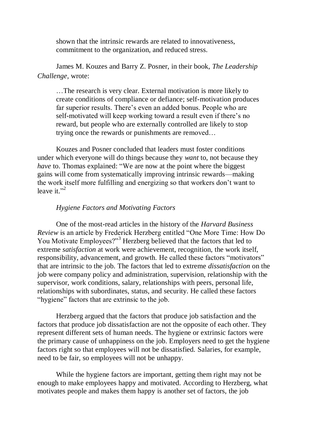shown that the intrinsic rewards are related to innovativeness, commitment to the organization, and reduced stress.

James M. Kouzes and Barry Z. Posner, in their book, *The Leadership Challenge,* wrote:

…The research is very clear. External motivation is more likely to create conditions of compliance or defiance; self-motivation produces far superior results. There's even an added bonus. People who are self-motivated will keep working toward a result even if there's no reward, but people who are externally controlled are likely to stop trying once the rewards or punishments are removed…

Kouzes and Posner concluded that leaders must foster conditions under which everyone will do things because they *want* to, not because they *have* to. Thomas explained: "We are now at the point where the biggest gains will come from systematically improving intrinsic rewards—making the work itself more fulfilling and energizing so that workers don't want to leave it." $^2$ 

## *Hygiene Factors and Motivating Factors*

One of the most-read articles in the history of the *Harvard Business Review* is an article by Frederick Herzberg entitled "One More Time: How Do You Motivate Employees?"<sup>3</sup> Herzberg believed that the factors that led to extreme *satisfaction* at work were achievement, recognition, the work itself, responsibility, advancement, and growth. He called these factors "motivators" that are intrinsic to the job. The factors that led to extreme *dissatisfaction* on the job were company policy and administration, supervision, relationship with the supervisor, work conditions, salary, relationships with peers, personal life, relationships with subordinates, status, and security. He called these factors "hygiene" factors that are extrinsic to the job.

Herzberg argued that the factors that produce job satisfaction and the factors that produce job dissatisfaction are not the opposite of each other. They represent different sets of human needs. The hygiene or extrinsic factors were the primary cause of unhappiness on the job. Employers need to get the hygiene factors right so that employees will not be dissatisfied. Salaries, for example, need to be fair, so employees will not be unhappy.

While the hygiene factors are important, getting them right may not be enough to make employees happy and motivated. According to Herzberg, what motivates people and makes them happy is another set of factors, the job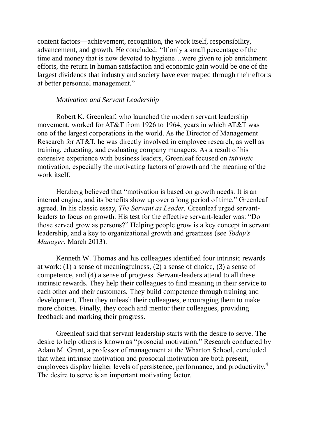content factors—achievement, recognition, the work itself, responsibility, advancement, and growth. He concluded: "If only a small percentage of the time and money that is now devoted to hygiene…were given to job enrichment efforts, the return in human satisfaction and economic gain would be one of the largest dividends that industry and society have ever reaped through their efforts at better personnel management."

## *Motivation and Servant Leadership*

Robert K. Greenleaf, who launched the modern servant leadership movement, worked for AT&T from 1926 to 1964, years in which AT&T was one of the largest corporations in the world. As the Director of Management Research for AT&T, he was directly involved in employee research, as well as training, educating, and evaluating company managers. As a result of his extensive experience with business leaders, Greenleaf focused on *intrinsic* motivation, especially the motivating factors of growth and the meaning of the work itself.

Herzberg believed that "motivation is based on growth needs. It is an internal engine, and its benefits show up over a long period of time." Greenleaf agreed. In his classic essay, *The Servant as Leader,* Greenleaf urged servantleaders to focus on growth. His test for the effective servant-leader was: "Do those served grow as persons?" Helping people grow is a key concept in servant leadership, and a key to organizational growth and greatness (see *Today's Manager*, March 2013).

Kenneth W. Thomas and his colleagues identified four intrinsic rewards at work: (1) a sense of meaningfulness, (2) a sense of choice, (3) a sense of competence, and (4) a sense of progress. Servant-leaders attend to all these intrinsic rewards. They help their colleagues to find meaning in their service to each other and their customers. They build competence through training and development. Then they unleash their colleagues, encouraging them to make more choices. Finally, they coach and mentor their colleagues, providing feedback and marking their progress.

Greenleaf said that servant leadership starts with the desire to serve. The desire to help others is known as "prosocial motivation." Research conducted by Adam M. Grant, a professor of management at the Wharton School, concluded that when intrinsic motivation and prosocial motivation are both present, employees display higher levels of persistence, performance, and productivity.<sup>4</sup> The desire to serve is an important motivating factor.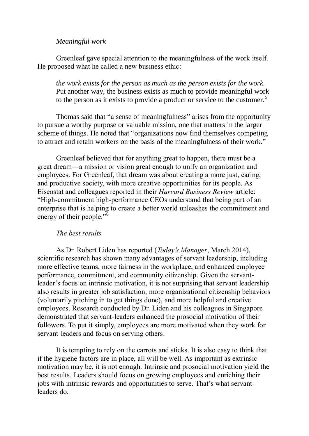# *Meaningful work*

Greenleaf gave special attention to the meaningfulness of the work itself. He proposed what he called a new business ethic:

*the work exists for the person as much as the person exists for the work.* Put another way, the business exists as much to provide meaningful work to the person as it exists to provide a product or service to the customer.<sup>5</sup>

Thomas said that "a sense of meaningfulness" arises from the opportunity to pursue a worthy purpose or valuable mission, one that matters in the larger scheme of things. He noted that "organizations now find themselves competing to attract and retain workers on the basis of the meaningfulness of their work."

Greenleaf believed that for anything great to happen, there must be a great dream—a mission or vision great enough to unify an organization and employees. For Greenleaf, that dream was about creating a more just, caring, and productive society, with more creative opportunities for its people. As Eisenstat and colleagues reported in their *Harvard Business Review* article: "High-commitment high-performance CEOs understand that being part of an enterprise that is helping to create a better world unleashes the commitment and energy of their people."<sup>6</sup>

## *The best results*

As Dr. Robert Liden has reported (*Today's Manager*, March 2014), scientific research has shown many advantages of servant leadership, including more effective teams, more fairness in the workplace, and enhanced employee performance, commitment, and community citizenship. Given the servantleader's focus on intrinsic motivation, it is not surprising that servant leadership also results in greater job satisfaction, more organizational citizenship behaviors (voluntarily pitching in to get things done), and more helpful and creative employees. Research conducted by Dr. Liden and his colleagues in Singapore demonstrated that servant-leaders enhanced the prosocial motivation of their followers. To put it simply, employees are more motivated when they work for servant-leaders and focus on serving others.

It is tempting to rely on the carrots and sticks. It is also easy to think that if the hygiene factors are in place, all will be well. As important as extrinsic motivation may be, it is not enough. Intrinsic and prosocial motivation yield the best results. Leaders should focus on growing employees and enriching their jobs with intrinsic rewards and opportunities to serve. That's what servantleaders do.